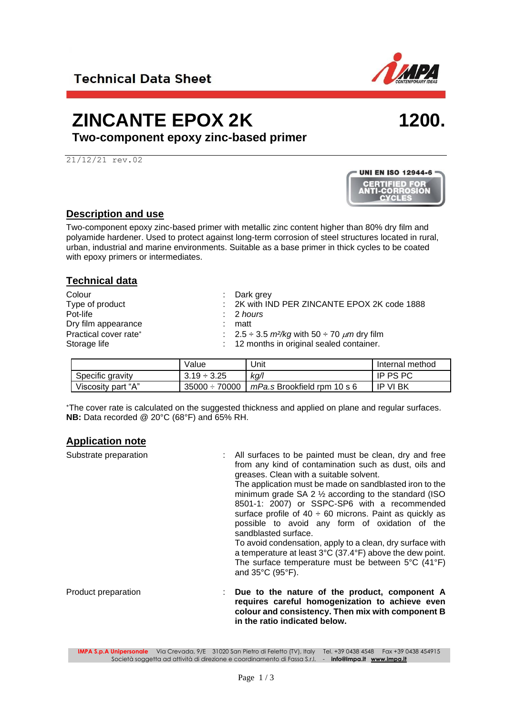### **ZINCANTE EPOX 2K**

**Two-component epoxy zinc-based primer**

21/12/21 rev.02

### **Description and use**

Two-component epoxy zinc-based primer with metallic zinc content higher than 80% dry film and polyamide hardener. Used to protect against long-term corrosion of steel structures located in rural, urban, industrial and marine environments. Suitable as a base primer in thick cycles to be coated with epoxy primers or intermediates.

| <b>Technical data</b>                                              |                                                                                                                            |
|--------------------------------------------------------------------|----------------------------------------------------------------------------------------------------------------------------|
| Colour<br>Type of product<br>Pot-life<br>Dry film appearance<br>÷. | : Dark grey<br>: 2K with IND PER ZINCANTE EPOX 2K code 1888<br>: 2 hours<br>matt                                           |
| Practical cover rate*<br>Storage life                              | . 2.5 $\div$ 3.5 <i>m</i> <sup>2</sup> /kg with 50 $\div$ 70 $\mu$ m dry film<br>: 12 months in original sealed container. |

|                    | Value              | Jnit                        | Internal method |
|--------------------|--------------------|-----------------------------|-----------------|
| Specific gravity   | $3.19 \div 3.25$   | kg/l                        | <b>IP PS PC</b> |
| Viscosity part "A" | $35000 \div 70000$ | mPa.s Brookfield rpm 10 s 6 | IP VI BK        |

The cover rate is calculated on the suggested thickness and applied on plane and regular surfaces. **NB:** Data recorded @ 20°C (68°F) and 65% RH.

### **Application note**

| Substrate preparation | : All surfaces to be painted must be clean, dry and free<br>from any kind of contamination such as dust, oils and<br>greases. Clean with a suitable solvent.<br>The application must be made on sandblasted iron to the<br>minimum grade $SA$ 2 $\frac{1}{2}$ according to the standard (ISO<br>8501-1: 2007) or SSPC-SP6 with a recommended<br>surface profile of $40 \div 60$ microns. Paint as quickly as<br>possible to avoid any form of oxidation of the<br>sandblasted surface.<br>To avoid condensation, apply to a clean, dry surface with<br>a temperature at least $3^{\circ}C$ (37.4 $^{\circ}F$ ) above the dew point.<br>The surface temperature must be between $5^{\circ}C$ (41 $^{\circ}F$ )<br>and 35°C (95°F). |
|-----------------------|-----------------------------------------------------------------------------------------------------------------------------------------------------------------------------------------------------------------------------------------------------------------------------------------------------------------------------------------------------------------------------------------------------------------------------------------------------------------------------------------------------------------------------------------------------------------------------------------------------------------------------------------------------------------------------------------------------------------------------------|
| Product preparation   | Due to the nature of the product, component A<br>requires careful homogenization to achieve even<br>colour and consistency. Then mix with component B<br>in the ratio indicated below.                                                                                                                                                                                                                                                                                                                                                                                                                                                                                                                                            |





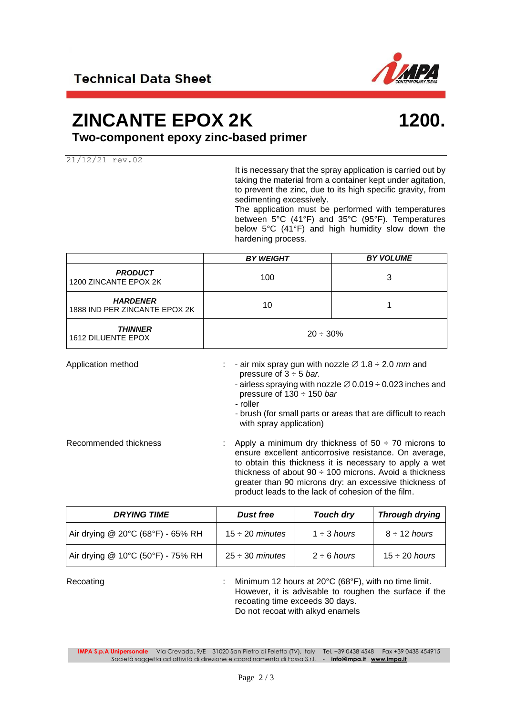

### **ZINCANTE EPOX 2K**

## **1200.**

**Two-component epoxy zinc-based primer**

21/12/21 rev.02

It is necessary that the spray application is carried out by taking the material from a container kept under agitation, to prevent the zinc, due to its high specific gravity, from sedimenting excessively.

The application must be performed with temperatures between 5°C (41°F) and 35°C (95°F). Temperatures below 5°C (41°F) and high humidity slow down the hardening process.

|                                                  | <b>BY WEIGHT</b> | <b>BY VOLUME</b> |
|--------------------------------------------------|------------------|------------------|
| <b>PRODUCT</b><br>1200 ZINCANTE EPOX 2K          | 100              | 3                |
| <b>HARDENER</b><br>1888 IND PER ZINCANTE EPOX 2K | 10               |                  |
| <i><b>THINNER</b></i><br>1612 DILUENTE EPOX      | $20 \div 30\%$   |                  |

| Application method    | - air mix spray gun with nozzle $\varnothing$ 1.8 $\div$ 2.0 mm and<br>pressure of $3 \div 5$ bar.<br>- airless spraying with nozzle $\varnothing$ 0.019 $\div$ 0.023 inches and<br>pressure of $130 \div 150$ bar<br>- roller<br>- brush (for small parts or areas that are difficult to reach<br>with spray application)                                   |
|-----------------------|--------------------------------------------------------------------------------------------------------------------------------------------------------------------------------------------------------------------------------------------------------------------------------------------------------------------------------------------------------------|
| Recommended thickness | Apply a minimum dry thickness of $50 \div 70$ microns to<br>ensure excellent anticorrosive resistance. On average,<br>to obtain this thickness it is necessary to apply a wet<br>thickness of about $90 \div 100$ microns. Avoid a thickness<br>greater than 90 microns dry: an excessive thickness of<br>product leads to the lack of cohesion of the film. |

| <b>DRYING TIME</b>                | <b>Dust free</b>     | Touch dry        | <b>Through drying</b> |
|-----------------------------------|----------------------|------------------|-----------------------|
| Air drying @ 20°C (68°F) - 65% RH | $15 \div 20$ minutes | $1 \div 3$ hours | $8 \div 12$ hours     |
| Air drying @ 10°C (50°F) - 75% RH | $25 \div 30$ minutes | $2 \div 6$ hours | $15 \div 20$ hours    |

Recoating **Example 2008** 12 Minimum 12 hours at 20°C (68°F), with no time limit. However, it is advisable to roughen the surface if the recoating time exceeds 30 days. Do not recoat with alkyd enamels